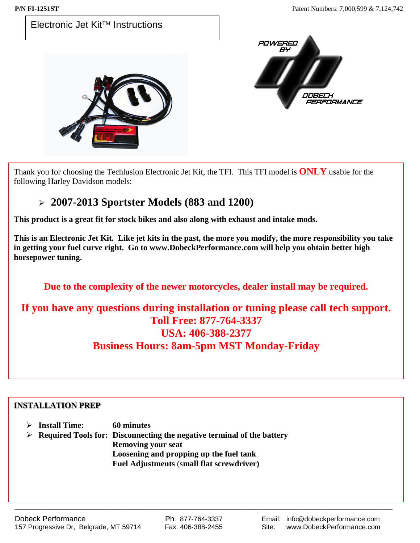

Thank you for choosing the Techlusion Electronic Jet Kit, the TFI. This TFI model is **ONLY** usable for the following Harley Davidson models:

### **2007-2013 Sportster Models (883 and 1200)**

**This product is a great fit for stock bikes and also along with exhaust and intake mods.** 

**This is an Electronic Jet Kit. Like jet kits in the past, the more you modify, the more responsibility you take in getting your fuel curve right. Go to www.DobeckPerformance.com will help you obtain better high horsepower tuning.**

**Due to the complexity of the newer motorcycles, dealer install may be required.**

### **If you have any questions during installation or tuning please call tech support. Toll Free: 877-764-3337 USA: 406-388-2377 Business Hours: 8am-5pm MST Monday-Friday**

#### **INSTALLATION PREP**

| <b>Install Time:</b> | <b>60 minutes</b> |
|----------------------|-------------------|
|                      |                   |
|                      |                   |
|                      |                   |
|                      |                   |
|                      |                   |
|                      |                   |
|                      |                   |

 **Required Tools for: Disconnecting the negative terminal of the battery Removing your seat Loosening and propping up the fuel tank Fuel Adjustments** (s**mall flat screwdriver)**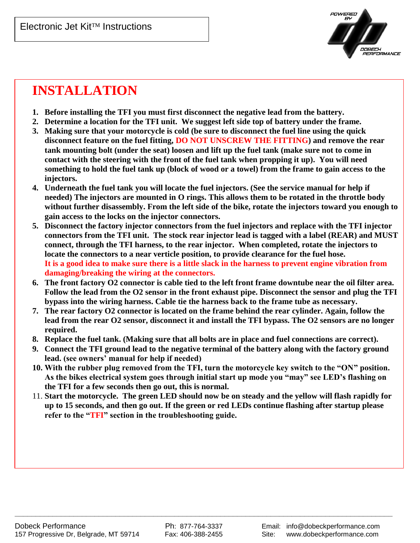

# **INSTALLATION**

- **1. Before installing the TFI you must first disconnect the negative lead from the battery.**
- **2. Determine a location for the TFI unit. We suggest left side top of battery under the frame.**
- **3. Making sure that your motorcycle is cold (be sure to disconnect the fuel line using the quick disconnect feature on the fuel fitting, DO NOT UNSCREW THE FITTING) and remove the rear tank mounting bolt (under the seat) loosen and lift up the fuel tank (make sure not to come in contact with the steering with the front of the fuel tank when propping it up). You will need something to hold the fuel tank up (block of wood or a towel) from the frame to gain access to the injectors.**
- **4. Underneath the fuel tank you will locate the fuel injectors. (See the service manual for help if needed) The injectors are mounted in O rings. This allows them to be rotated in the throttle body without further disassembly. From the left side of the bike, rotate the injectors toward you enough to gain access to the locks on the injector connectors.**
- **5. Disconnect the factory injector connectors from the fuel injectors and replace with the TFI injector connectors from the TFI unit. The stock rear injector lead is tagged with a label (REAR) and MUST connect, through the TFI harness, to the rear injector. When completed, rotate the injectors to locate the connectors to a near verticle position, to provide clearance for the fuel hose. It is a good idea to make sure there is a little slack in the harness to prevent engine vibration from damaging/breaking the wiring at the connectors.**
- **6. The front factory O2 connector is cable tied to the left front frame downtube near the oil filter area. Follow the lead from the O2 sensor in the front exhaust pipe. Disconnect the sensor and plug the TFI bypass into the wiring harness. Cable tie the harness back to the frame tube as necessary.**
- **7. The rear factory O2 connector is located on the frame behind the rear cylinder. Again, follow the lead from the rear O2 sensor, disconnect it and install the TFI bypass. The O2 sensors are no longer required.**
- **8. Replace the fuel tank. (Making sure that all bolts are in place and fuel connections are correct).**
- **9. Connect the TFI ground lead to the negative terminal of the battery along with the factory ground lead. (see owners' manual for help if needed)**
- **10. With the rubber plug removed from the TFI, turn the motorcycle key switch to the "ON" position. As the bikes electrical system goes through initial start up mode you "may" see LED's flashing on the TFI for a few seconds then go out, this is normal.**
- 11. **Start the motorcycle. The green LED should now be on steady and the yellow will flash rapidly for up to 15 seconds, and then go out. If the green or red LEDs continue flashing after startup please refer to the "TFI" section in the troubleshooting guide.**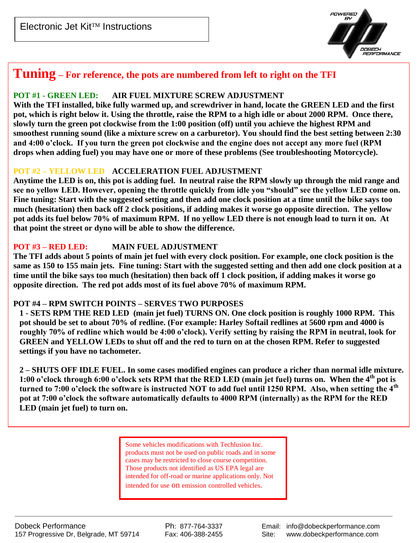Electronic Jet Kit<sup>TM</sup> Instructions



# **Tuning – For reference, the pots are numbered from left to right on the TFI**

#### **POT #1 - GREEN LED: AIR FUEL MIXTURE SCREW ADJUSTMENT**

**With the TFI installed, bike fully warmed up, and screwdriver in hand, locate the GREEN LED and the first pot, which is right below it. Using the throttle, raise the RPM to a high idle or about 2000 RPM. Once there, slowly turn the green pot clockwise from the 1:00 position (off) until you achieve the highest RPM and smoothest running sound (like a mixture screw on a carburetor). You should find the best setting between 2:30 and 4:00 o'clock. If you turn the green pot clockwise and the engine does not accept any more fuel (RPM drops when adding fuel) you may have one or more of these problems (See troubleshooting Motorcycle).**

#### **POT #2 – YELLOW LED ACCELERATION FUEL ADJUSTMENT**

**Anytime the LED is on, this pot is adding fuel. In neutral raise the RPM slowly up through the mid range and see no yellow LED. However, opening the throttle quickly from idle you "should" see the yellow LED come on. Fine tuning: Start with the suggested setting and then add one clock position at a time until the bike says too much (hesitation) then back off 2 clock positions, if adding makes it worse go opposite direction. The yellow pot adds its fuel below 70% of maximum RPM. If no yellow LED there is not enough load to turn it on. At that point the street or dyno will be able to show the difference.**

#### **POT #3 – RED LED: MAIN FUEL ADJUSTMENT**

**The TFI adds about 5 points of main jet fuel with every clock position. For example, one clock position is the same as 150 to 155 main jets. Fine tuning: Start with the suggested setting and then add one clock position at a time until the bike says too much (hesitation) then back off 1 clock position, if adding makes it worse go opposite direction. The red pot adds most of its fuel above 70% of maximum RPM.**

#### **POT #4 – RPM SWITCH POINTS – SERVES TWO PURPOSES**

**1 - SETS RPM THE RED LED (main jet fuel) TURNS ON. One clock position is roughly 1000 RPM. This pot should be set to about 70% of redline. (For example: Harley Softail redlines at 5600 rpm and 4000 is roughly 70% of redline which would be 4:00 o'clock). Verify setting by raising the RPM in neutral, look for GREEN and YELLOW LEDs to shut off and the red to turn on at the chosen RPM. Refer to suggested settings if you have no tachometer.**

**2 – SHUTS OFF IDLE FUEL. In some cases modified engines can produce a richer than normal idle mixture. 1:00 o'clock through 6:00 o'clock sets RPM that the RED LED (main jet fuel) turns on. When the 4th pot is turned to 7:00 o'clock the software is instructed NOT to add fuel until 1250 RPM. Also, when setting the 4th pot at 7:00 o'clock the software automatically defaults to 4000 RPM (internally) as the RPM for the RED LED (main jet fuel) to turn on.** 

> Some vehicles modifications with Techlusion Inc. products must not be used on public roads and in some cases may be restricted to close course competition. Those products not identified as US EPA legal are intended for off-road or marine applications only. Not intended for use on emission controlled vehicles.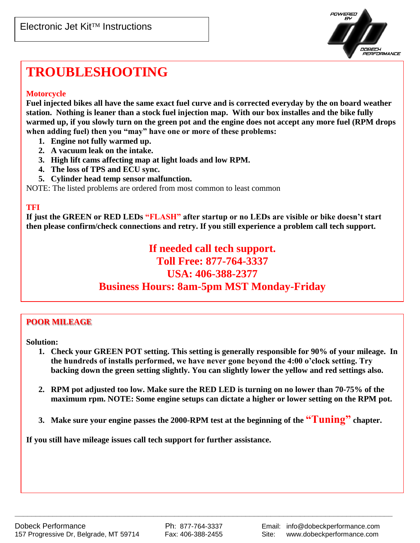

# **TROUBLESHOOTING**

#### **Motorcycle**

**Fuel injected bikes all have the same exact fuel curve and is corrected everyday by the on board weather station. Nothing is leaner than a stock fuel injection map. With our box installes and the bike fully warmed up, if you slowly turn on the green pot and the engine does not accept any more fuel (RPM drops when adding fuel) then you "may" have one or more of these problems:** 

- **1. Engine not fully warmed up.**
- **2. A vacuum leak on the intake.**
- **3. High lift cams affecting map at light loads and low RPM.**
- **4. The loss of TPS and ECU sync.**
- **5. Cylinder head temp sensor malfunction.**

NOTE: The listed problems are ordered from most common to least common

#### **TFI**

**If just the GREEN or RED LEDs "FLASH" after startup or no LEDs are visible or bike doesn't start then please confirm/check connections and retry. If you still experience a problem call tech support.**

### **If needed call tech support. Toll Free: 877-764-3337 USA: 406-388-2377 Business Hours: 8am-5pm MST Monday-Friday**

#### **POOR MILEAGE**

**Solution:**

- **1. Check your GREEN POT setting. This setting is generally responsible for 90% of your mileage. In the hundreds of installs performed, we have never gone beyond the 4:00 o'clock setting. Try backing down the green setting slightly. You can slightly lower the yellow and red settings also.**
- **2. RPM pot adjusted too low. Make sure the RED LED is turning on no lower than 70-75% of the maximum rpm. NOTE: Some engine setups can dictate a higher or lower setting on the RPM pot.**
- **3. Make sure your engine passes the 2000-RPM test at the beginning of the "Tuning" chapter.**

**If you still have mileage issues call tech support for further assistance.**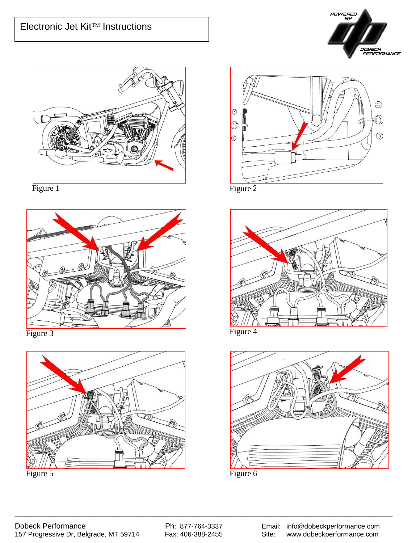



Figure 1



Figure 3





Figure 2



Figure 4

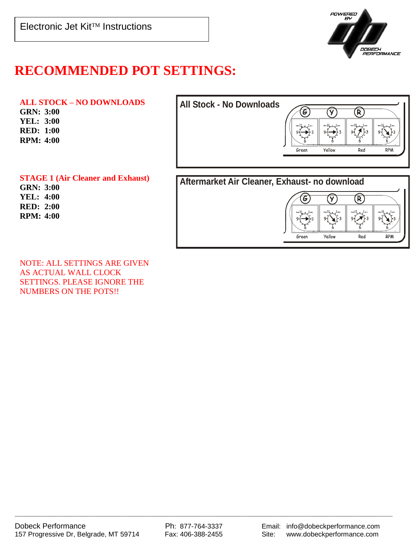

## **RECOMMENDED POT SETTINGS:**

**ALL STOCK – NO DOWNLOADS GRN: 3:00 YEL: 3:00 RED: 1:00 RPM: 4:00**



**STAGE 1 (Air Cleaner and Exhaust) GRN: 3:00 YEL: 4:00 RED: 2:00 RPM: 4:00**

NOTE: ALL SETTINGS ARE GIVEN AS ACTUAL WALL CLOCK SETTINGS. PLEASE IGNORE THE NUMBERS ON THE POTS!!